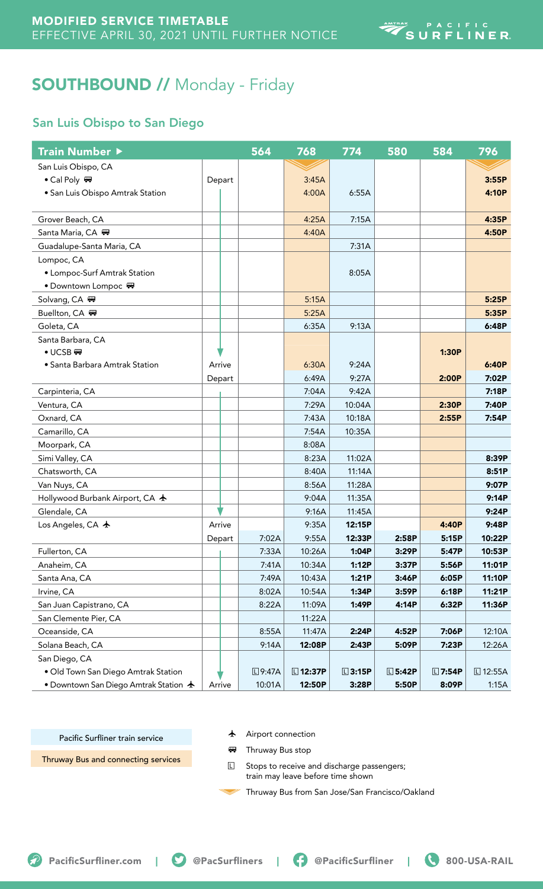# SOUTHBOUND // Monday - Friday

## San Luis Obispo to San Diego

| Train Number ▶                                 |        | 564           | 768             | 774             | 580             | 584           | 796             |
|------------------------------------------------|--------|---------------|-----------------|-----------------|-----------------|---------------|-----------------|
| San Luis Obispo, CA                            |        |               |                 |                 |                 |               |                 |
| • Cal Poly ₩                                   | Depart |               | 3:45A           |                 |                 |               | 3:55P           |
| · San Luis Obispo Amtrak Station               |        |               | 4:00A           | 6:55A           |                 |               | 4:10P           |
| Grover Beach, CA                               |        |               | 4:25A           | 7:15A           |                 |               | 4:35P           |
| Santa Maria, CA –                              |        |               | 4:40A           |                 |                 |               | 4:50P           |
| Guadalupe-Santa Maria, CA                      |        |               |                 | 7:31A           |                 |               |                 |
| Lompoc, CA                                     |        |               |                 |                 |                 |               |                 |
| • Lompoc-Surf Amtrak Station                   |        |               |                 | 8:05A           |                 |               |                 |
| • Downtown Lompoc ♥                            |        |               |                 |                 |                 |               |                 |
| Solvang, CA H                                  |        |               | 5:15A           |                 |                 |               | 5:25P           |
| Buellton, CA ₩                                 |        |               | 5:25A           |                 |                 |               | 5:35P           |
| Goleta, CA                                     |        |               | 6:35A           | 9:13A           |                 |               | 6:48P           |
| Santa Barbara, CA                              |        |               |                 |                 |                 |               |                 |
| $\bullet$ UCSB $\overline{xy}$                 |        |               |                 |                 |                 | 1:30P         |                 |
| • Santa Barbara Amtrak Station                 | Arrive |               | 6:30A           | 9:24A           |                 |               | 6:40P           |
|                                                | Depart |               | 6:49A           | 9:27A           |                 | 2:00P         | 7:02P           |
| Carpinteria, CA                                |        |               | 7:04A           | 9:42A           |                 |               | 7:18P           |
| Ventura, CA                                    |        |               | 7:29A           | 10:04A          |                 | 2:30P         | 7:40P           |
| Oxnard, CA                                     |        |               | 7:43A           | 10:18A          |                 | 2:55P         | 7:54P           |
| Camarillo, CA                                  |        |               | 7:54A           | 10:35A          |                 |               |                 |
| Moorpark, CA                                   |        |               | 8:08A           |                 |                 |               |                 |
| Simi Valley, CA                                |        |               | 8:23A           | 11:02A          |                 |               | 8:39P           |
| Chatsworth, CA                                 |        |               | 8:40A           | 11:14A          |                 |               | 8:51P           |
| Van Nuys, CA                                   |        |               | 8:56A           | 11:28A          |                 |               | 9:07P           |
| Hollywood Burbank Airport, CA ★                |        |               | 9:04A           | 11:35A          |                 |               | 9:14P           |
| Glendale, CA                                   |        |               | 9:16A           | 11:45A          |                 |               | 9:24P           |
| Los Angeles, CA $\,$ $\,\star\,$               | Arrive |               | 9:35A           | 12:15P          |                 | 4:40P         | 9:48P           |
|                                                | Depart | 7:02A         | 9:55A           | 12:33P          | 2:58P           | 5:15P         | 10:22P          |
| Fullerton, CA                                  |        | 7:33A         | 10:26A          | 1:04P           | 3:29P           | 5:47P         | 10:53P          |
| Anaheim, CA                                    |        | 7:41A         | 10:34A          | 1:12P           | 3:37P           | 5:56P         | 11:01P          |
| Santa Ana, CA                                  |        | 7:49A         | 10:43A          | 1:21P           | 3:46P           | 6:05P         | 11:10P          |
| Irvine, CA                                     |        | 8:02A         | 10:54A          | 1:34P           | 3:59P           | 6:18P         | 11:21P          |
| San Juan Capistrano, CA                        |        | 8:22A         | 11:09A          | 1:49P           | 4:14P           | 6:32P         | 11:36P          |
| San Clemente Pier, CA                          |        |               | 11:22A          |                 |                 |               |                 |
| Oceanside, CA                                  |        | 8:55A         | 11:47A          | 2:24P           | 4:52P           | 7:06P         | 12:10A          |
| Solana Beach, CA                               |        | 9:14A         | 12:08P          | 2:43P           | 5:09P           | 7:23P         | 12:26A          |
| San Diego, CA                                  |        |               |                 |                 |                 |               |                 |
| · Old Town San Diego Amtrak Station            |        | <b>□9:47A</b> | <b>□ 12:37P</b> | $\square$ 3:15P | $\square$ 5:42P | <b>□7:54P</b> | <b>□ 12:55A</b> |
| • Downtown San Diego Amtrak Station $\bigstar$ | Arrive | 10:01A        | 12:50P          | 3:28P           | 5:50P           | 8:09P         | 1:15A           |

Pacific Surfliner train service

 $\bigstar$  Airport connection

Thruway Bus and connecting services

**B** Thruway Bus stop

**L** Stops to receive and discharge passengers; train may leave before time shown

Thruway Bus from San Jose/San Francisco/Oakland

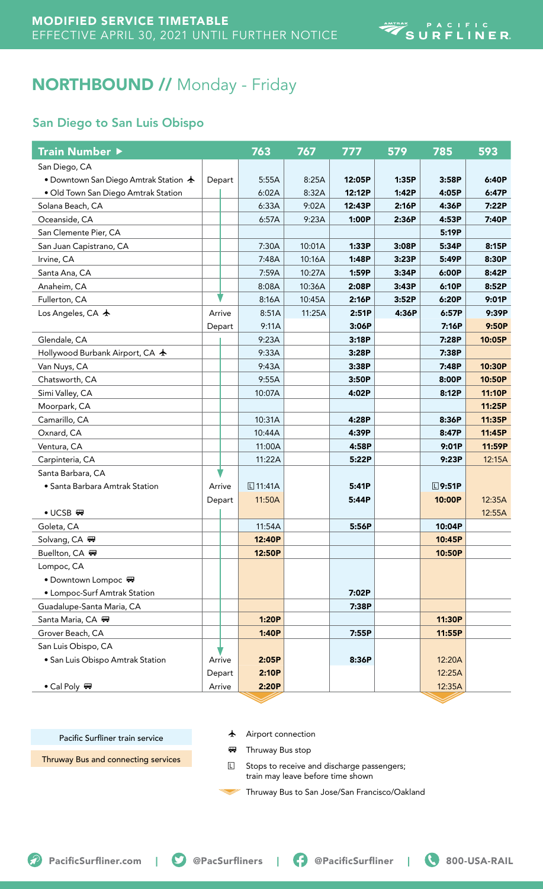# NORTHBOUND // Monday - Friday

### San Diego to San Luis Obispo

| <b>Train Number ▶</b>                          |        | 763           | 767    | 777    | 579   | 785             | 593    |
|------------------------------------------------|--------|---------------|--------|--------|-------|-----------------|--------|
| San Diego, CA                                  |        |               |        |        |       |                 |        |
| • Downtown San Diego Amtrak Station $\bigstar$ | Depart | 5:55A         | 8:25A  | 12:05P | 1:35P | 3:58P           | 6:40P  |
| · Old Town San Diego Amtrak Station            |        | 6:02A         | 8:32A  | 12:12P | 1:42P | 4:05P           | 6:47P  |
| Solana Beach, CA                               |        | 6:33A         | 9:02A  | 12:43P | 2:16P | 4:36P           | 7:22P  |
| Oceanside, CA                                  |        | 6:57A         | 9:23A  | 1:00P  | 2:36P | 4:53P           | 7:40P  |
| San Clemente Pier, CA                          |        |               |        |        |       | 5:19P           |        |
| San Juan Capistrano, CA                        |        | 7:30A         | 10:01A | 1:33P  | 3:08P | 5:34P           | 8:15P  |
| Irvine, CA                                     |        | 7:48A         | 10:16A | 1:48P  | 3:23P | 5:49P           | 8:30P  |
| Santa Ana, CA                                  |        | 7:59A         | 10:27A | 1:59P  | 3:34P | 6:00P           | 8:42P  |
| Anaheim, CA                                    |        | 8:08A         | 10:36A | 2:08P  | 3:43P | 6:10P           | 8:52P  |
| Fullerton, CA                                  |        | 8:16A         | 10:45A | 2:16P  | 3:52P | 6:20P           | 9:01P  |
| Los Angeles, CA $\bigstar$                     | Arrive | 8:51A         | 11:25A | 2:51P  | 4:36P | 6:57P           | 9:39P  |
|                                                | Depart | 9:11A         |        | 3:06P  |       | 7:16P           | 9:50P  |
| Glendale, CA                                   |        | 9:23A         |        | 3:18P  |       | 7:28P           | 10:05P |
| Hollywood Burbank Airport, CA ★                |        | 9:33A         |        | 3:28P  |       | 7:38P           |        |
| Van Nuys, CA                                   |        | 9:43A         |        | 3:38P  |       | 7:48P           | 10:30P |
| Chatsworth, CA                                 |        | 9:55A         |        | 3:50P  |       | 8:00P           | 10:50P |
| Simi Valley, CA                                |        | 10:07A        |        | 4:02P  |       | 8:12P           | 11:10P |
| Moorpark, CA                                   |        |               |        |        |       |                 | 11:25P |
| Camarillo, CA                                  |        | 10:31A        |        | 4:28P  |       | 8:36P           | 11:35P |
| Oxnard, CA                                     |        | 10:44A        |        | 4:39P  |       | 8:47P           | 11:45P |
| Ventura, CA                                    |        | 11:00A        |        | 4:58P  |       | 9:01P           | 11:59P |
| Carpinteria, CA                                |        | 11:22A        |        | 5:22P  |       | 9:23P           | 12:15A |
| Santa Barbara, CA                              |        |               |        |        |       |                 |        |
| • Santa Barbara Amtrak Station                 | Arrive | $\Box$ 11:41A |        | 5:41P  |       | $\square$ 9:51P |        |
|                                                | Depart | 11:50A        |        | 5:44P  |       | 10:00P          | 12:35A |
| $\bullet$ UCSB $\overline{m}$                  |        |               |        |        |       |                 | 12:55A |
| Goleta, CA                                     |        | 11:54A        |        | 5:56P  |       | 10:04P          |        |
| Solvang, CA ₩                                  |        | 12:40P        |        |        |       | 10:45P          |        |
| Buellton, CA <sub>™</sub>                      |        | 12:50P        |        |        |       | 10:50P          |        |
| Lompoc, CA                                     |        |               |        |        |       |                 |        |
| • Downtown Lompoc ♥                            |        |               |        |        |       |                 |        |
| • Lompoc-Surf Amtrak Station                   |        |               |        | 7:02P  |       |                 |        |
| Guadalupe-Santa Maria, CA                      |        |               |        | 7:38P  |       |                 |        |
| Santa Maria, CA 四                              |        | 1:20P         |        |        |       | 11:30P          |        |
| Grover Beach, CA                               |        | 1:40P         |        | 7:55P  |       | 11:55P          |        |
| San Luis Obispo, CA                            |        |               |        |        |       |                 |        |
| · San Luis Obispo Amtrak Station               | Arrive | 2:05P         |        | 8:36P  |       | 12:20A          |        |
|                                                | Depart | 2:10P         |        |        |       | 12:25A          |        |
| • Cal Poly $\blacksquare$                      | Arrive | 2:20P         |        |        |       | 12:35A          |        |
|                                                |        |               |        |        |       |                 |        |

Pacific Surfliner train service

 $\bigstar$  Airport connection

Thruway Bus and connecting services

**B** Thruway Bus stop

**L** Stops to receive and discharge passengers; train may leave before time shown

Thruway Bus to San Jose/San Francisco/Oakland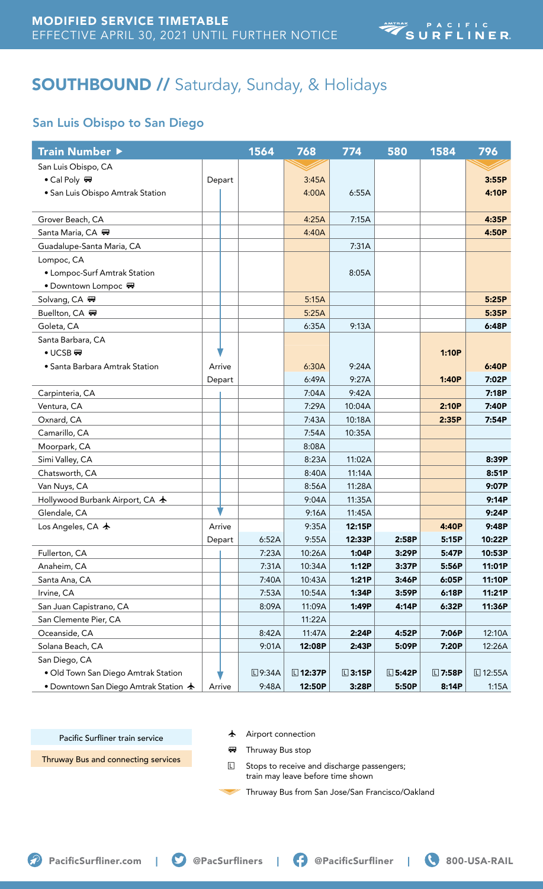# SOUTHBOUND // Saturday, Sunday, & Holidays

## San Luis Obispo to San Diego

| Train Number ▶                                 |        | 1564          | 768             | 774             | 580             | 1584          | 796             |
|------------------------------------------------|--------|---------------|-----------------|-----------------|-----------------|---------------|-----------------|
| San Luis Obispo, CA                            |        |               |                 |                 |                 |               |                 |
| • Cal Poly                                     | Depart |               | 3:45A           |                 |                 |               | 3:55P           |
| • San Luis Obispo Amtrak Station               |        |               | 4:00A           | 6:55A           |                 |               | 4:10P           |
|                                                |        |               |                 |                 |                 |               |                 |
| Grover Beach, CA                               |        |               | 4:25A           | 7:15A           |                 |               | 4:35P           |
| Santa Maria, CA 冊                              |        |               | 4:40A           |                 |                 |               | 4:50P           |
| Guadalupe-Santa Maria, CA                      |        |               |                 | 7:31A           |                 |               |                 |
| Lompoc, CA                                     |        |               |                 |                 |                 |               |                 |
| • Lompoc-Surf Amtrak Station                   |        |               |                 | 8:05A           |                 |               |                 |
| • Downtown Lompoc ♥                            |        |               |                 |                 |                 |               |                 |
| Solvang, CA ₩                                  |        |               | 5:15A           |                 |                 |               | 5:25P           |
| Buellton, CA <sub>™</sub>                      |        |               | 5:25A           |                 |                 |               | 5:35P           |
| Goleta, CA                                     |        |               | 6:35A           | 9:13A           |                 |               | 6:48P           |
| Santa Barbara, CA                              |        |               |                 |                 |                 |               |                 |
| $\bullet$ UCSB                                 |        |               |                 |                 |                 | 1:10P         |                 |
| · Santa Barbara Amtrak Station                 | Arrive |               | 6:30A           | 9:24A           |                 |               | 6:40P           |
|                                                | Depart |               | 6:49A           | 9:27A           |                 | 1:40P         | 7:02P           |
| Carpinteria, CA                                |        |               | 7:04A           | 9:42A           |                 |               | 7:18P           |
| Ventura, CA                                    |        |               | 7:29A           | 10:04A          |                 | 2:10P         | 7:40P           |
| Oxnard, CA                                     |        |               | 7:43A           | 10:18A          |                 | 2:35P         | 7:54P           |
| Camarillo, CA                                  |        |               | 7:54A           | 10:35A          |                 |               |                 |
| Moorpark, CA                                   |        |               | 8:08A           |                 |                 |               |                 |
| Simi Valley, CA                                |        |               | 8:23A           | 11:02A          |                 |               | 8:39P           |
| Chatsworth, CA                                 |        |               | 8:40A           | 11:14A          |                 |               | 8:51P           |
| Van Nuys, CA                                   |        |               | 8:56A           | 11:28A          |                 |               | 9:07P           |
| Hollywood Burbank Airport, CA ★                |        |               | 9:04A           | 11:35A          |                 |               | 9:14P           |
| Glendale, CA                                   |        |               | 9:16A           | 11:45A          |                 |               | 9:24P           |
| Los Angeles, CA $\bigstar$                     | Arrive |               | 9:35A           | 12:15P          |                 | 4:40P         | 9:48P           |
|                                                | Depart | 6:52A         | 9:55A           | 12:33P          | 2:58P           | 5:15P         | 10:22P          |
| Fullerton, CA                                  |        | 7:23A         | 10:26A          | 1:04P           | 3:29P           | 5:47P         | 10:53P          |
| Anaheim, CA                                    |        | 7:31A         | 10:34A          | 1:12P           | 3:37P           | 5:56P         | 11:01P          |
| Santa Ana, CA                                  |        | 7:40A         | 10:43A          | 1:21P           | 3:46P           | 6:05P         | 11:10P          |
| Irvine, CA                                     |        | 7:53A         | 10:54A          | 1:34P           | 3:59P           | 6:18P         | 11:21P          |
| San Juan Capistrano, CA                        |        | 8:09A         | 11:09A          | 1:49P           | 4:14P           | 6:32P         | 11:36P          |
| San Clemente Pier, CA                          |        |               | 11:22A          |                 |                 |               |                 |
| Oceanside, CA                                  |        | 8:42A         | 11:47A          | 2:24P           | 4:52P           | 7:06P         | 12:10A          |
| Solana Beach, CA                               |        | 9:01A         | 12:08P          | 2:43P           | 5:09P           | 7:20P         | 12:26A          |
| San Diego, CA                                  |        |               |                 |                 |                 |               |                 |
| · Old Town San Diego Amtrak Station            |        | <b>□9:34A</b> | <b>□ 12:37P</b> | $\square$ 3:15P | $\square$ 5:42P | <b>□7:58P</b> | <b>□ 12:55A</b> |
| • Downtown San Diego Amtrak Station $\bigstar$ | Arrive | 9:48A         | 12:50P          | 3:28P           | 5:50P           | 8:14P         | 1:15A           |

Pacific Surfliner train service

 $\bigstar$  Airport connection

Thruway Bus and connecting services

**B** Thruway Bus stop

E Stops to receive and discharge passengers; train may leave before time shown

Thruway Bus from San Jose/San Francisco/Oakland

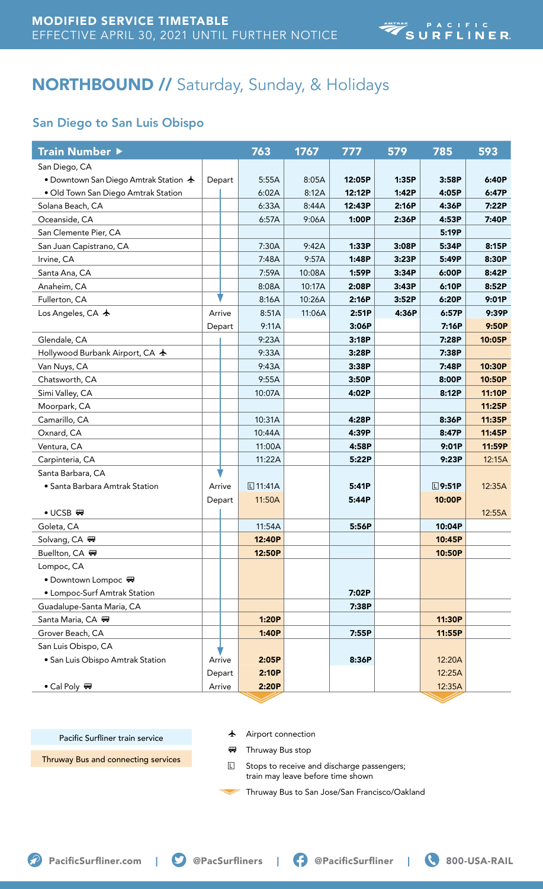# NORTHBOUND // Saturday, Sunday, & Holidays

## San Diego to San Luis Obispo

| Train Number ▶                                 |        | 763           | 1767   | 777    | 579   | 785          | 593    |
|------------------------------------------------|--------|---------------|--------|--------|-------|--------------|--------|
| San Diego, CA                                  |        |               |        |        |       |              |        |
| • Downtown San Diego Amtrak Station $\bigstar$ | Depart | 5:55A         | 8:05A  | 12:05P | 1:35P | 3:58P        | 6:40P  |
| • Old Town San Diego Amtrak Station            |        | 6:02A         | 8:12A  | 12:12P | 1:42P | 4:05P        | 6:47P  |
| Solana Beach, CA                               |        | 6:33A         | 8:44A  | 12:43P | 2:16P | 4:36P        | 7:22P  |
| Oceanside, CA                                  |        | 6:57A         | 9:06A  | 1:00P  | 2:36P | 4:53P        | 7:40P  |
| San Clemente Pier, CA                          |        |               |        |        |       | 5:19P        |        |
| San Juan Capistrano, CA                        |        | 7:30A         | 9:42A  | 1:33P  | 3:08P | 5:34P        | 8:15P  |
| Irvine, CA                                     |        | 7:48A         | 9:57A  | 1:48P  | 3:23P | 5:49P        | 8:30P  |
| Santa Ana, CA                                  |        | 7:59A         | 10:08A | 1:59P  | 3:34P | 6:00P        | 8:42P  |
| Anaheim, CA                                    |        | 8:08A         | 10:17A | 2:08P  | 3:43P | 6:10P        | 8:52P  |
| Fullerton, CA                                  |        | 8:16A         | 10:26A | 2:16P  | 3:52P | 6:20P        | 9:01P  |
| Los Angeles, CA $\bigstar$                     | Arrive | 8:51A         | 11:06A | 2:51P  | 4:36P | 6:57P        | 9:39P  |
|                                                | Depart | 9:11A         |        | 3:06P  |       | 7:16P        | 9:50P  |
| Glendale, CA                                   |        | 9:23A         |        | 3:18P  |       | 7:28P        | 10:05P |
| Hollywood Burbank Airport, CA ★                |        | 9:33A         |        | 3:28P  |       | 7:38P        |        |
| Van Nuys, CA                                   |        | 9:43A         |        | 3:38P  |       | 7:48P        | 10:30P |
| Chatsworth, CA                                 |        | 9:55A         |        | 3:50P  |       | 8:00P        | 10:50P |
| Simi Valley, CA                                |        | 10:07A        |        | 4:02P  |       | 8:12P        | 11:10P |
| Moorpark, CA                                   |        |               |        |        |       |              | 11:25P |
| Camarillo, CA                                  |        | 10:31A        |        | 4:28P  |       | 8:36P        | 11:35P |
| Oxnard, CA                                     |        | 10:44A        |        | 4:39P  |       | 8:47P        | 11:45P |
| Ventura, CA                                    |        | 11:00A        |        | 4:58P  |       | 9:01P        | 11:59P |
| Carpinteria, CA                                |        | 11:22A        |        | 5:22P  |       | 9:23P        | 12:15A |
| Santa Barbara, CA                              |        |               |        |        |       |              |        |
| • Santa Barbara Amtrak Station                 | Arrive | $\Box$ 11:41A |        | 5:41P  |       | $\Box$ 9:51P | 12:35A |
|                                                | Depart | 11:50A        |        | 5:44P  |       | 10:00P       |        |
| $\bullet$ UCSB $\overline{w}$                  |        |               |        |        |       |              | 12:55A |
| Goleta, CA                                     |        | 11:54A        |        | 5:56P  |       | 10:04P       |        |
| Solvang, CA <sub>™</sub>                       |        | 12:40P        |        |        |       | 10:45P       |        |
| Buellton, CA 冊                                 |        | 12:50P        |        |        |       | 10:50P       |        |
| Lompoc, CA                                     |        |               |        |        |       |              |        |
| • Downtown Lompoc ₩                            |        |               |        |        |       |              |        |
| • Lompoc-Surf Amtrak Station                   |        |               |        | 7:02P  |       |              |        |
| Guadalupe-Santa Maria, CA                      |        |               |        | 7:38P  |       |              |        |
| Santa Maria, CA 冊                              |        | 1:20P         |        |        |       | 11:30P       |        |
| Grover Beach, CA                               |        | 1:40P         |        | 7:55P  |       | 11:55P       |        |
| San Luis Obispo, CA                            |        |               |        |        |       |              |        |
| • San Luis Obispo Amtrak Station               | Arrive | 2:05P         |        | 8:36P  |       | 12:20A       |        |
|                                                | Depart | 2:10P         |        |        |       | 12:25A       |        |
| • Cal Poly $\blacksquare$                      | Arrive | 2:20P         |        |        |       | 12:35A       |        |

Pacific Surfliner train service

 $\bigstar$  Airport connection

Thruway Bus and connecting services

**B** Thruway Bus stop

**L** Stops to receive and discharge passengers; train may leave before time shown

Thruway Bus to San Jose/San Francisco/Oakland

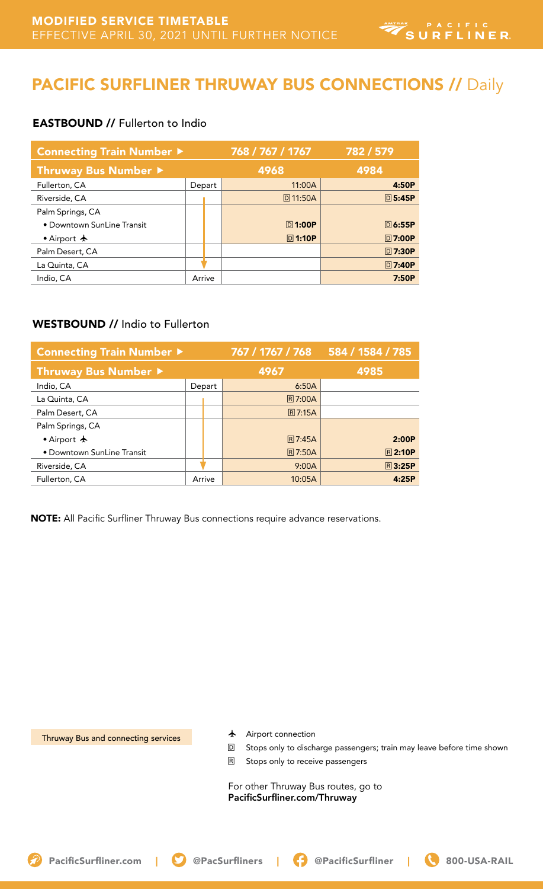## PACIFIC SURFLINER THRUWAY BUS CONNECTIONS // Daily

### EASTBOUND // Fullerton to Indio

| <b>Connecting Train Number ▶</b> |        | 768 / 767 / 1767 | 782 / 579      |
|----------------------------------|--------|------------------|----------------|
| Thruway Bus Number ▶             |        | 4968             | 4984           |
| Fullerton, CA                    | Depart | 11:00A           | 4:50P          |
| Riverside, CA                    |        | <b>D11:50A</b>   | <b>回5:45P</b>  |
| Palm Springs, CA                 |        |                  |                |
| . Downtown SunLine Transit       |        | <b>回1:00P</b>    | <b>回 6:55P</b> |
| • Airport $\bigstar$             |        | <b>回1:10P</b>    | <b>同7:00P</b>  |
| Palm Desert, CA                  |        |                  | <b>回7:30P</b>  |
| La Quinta, CA                    |        |                  | <b>回7:40P</b>  |
| Indio, CA                        | Arrive |                  | 7:50P          |

### WESTBOUND // Indio to Fullerton

| Connecting Train Number ▶  |        | 767 / 1767 / 768 | 584 / 1584 / 785 |
|----------------------------|--------|------------------|------------------|
| Thruway Bus Number ▶       |        | 4967             | 4985             |
| Indio, CA                  | Depart | 6:50A            |                  |
| La Quinta, CA              |        | <b>R7:00A</b>    |                  |
| Palm Desert, CA            |        | <b>R7:15A</b>    |                  |
| Palm Springs, CA           |        |                  |                  |
| • Airport $\bigstar$       |        | <b>R7:45A</b>    | 2:00P            |
| • Downtown SunLine Transit |        | <b>R7:50A</b>    | <b>R2:10P</b>    |
| Riverside, CA              |        | 9:00A            | <b>R3:25P</b>    |
| Fullerton, CA              | Arrive | 10:05A           | 4:25P            |

NOTE: All Pacific Surfliner Thruway Bus connections require advance reservations.

Thruway Bus and connecting services

- $\bigstar$  Airport connection
- D Stops only to discharge passengers; train may leave before time shown
- R Stops only to receive passengers

For other Thruway Bus routes, go to PacificSurfliner.com/Thruway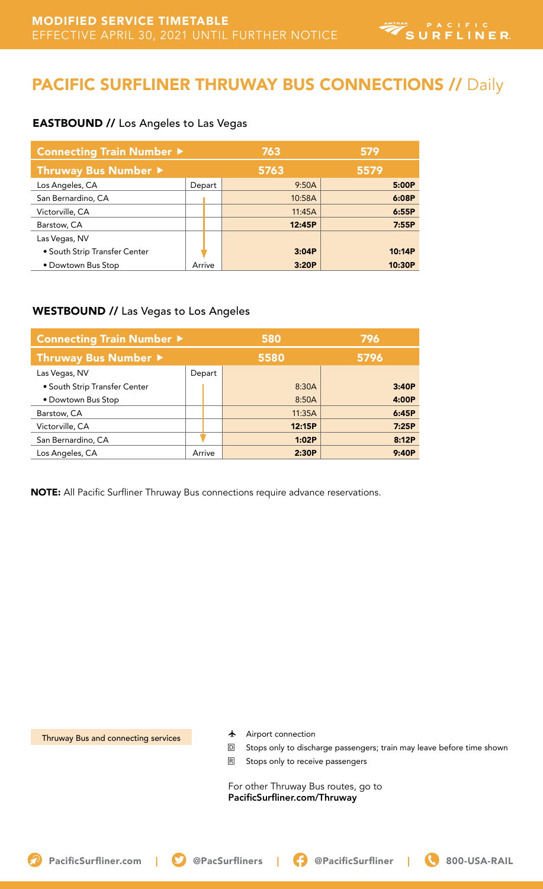## PACIFIC SURFLINER THRUWAY BUS CONNECTIONS // Daily

#### EASTBOUND // Los Angeles to Las Vegas

| <b>Connecting Train Number ▶</b> |        | 763    | 579    |
|----------------------------------|--------|--------|--------|
| Thruway Bus Number ▶             |        | 5763   | 5579   |
| Los Angeles, CA                  | Depart | 9:50A  | 5:00P  |
| San Bernardino, CA               |        | 10:58A | 6:08P  |
| Victorville, CA                  |        | 11:45A | 6:55P  |
| Barstow, CA                      |        | 12:45P | 7:55P  |
| Las Vegas, NV                    |        |        |        |
| • South Strip Transfer Center    |        | 3:04P  | 10:14P |
| • Dowtown Bus Stop               | Arrive | 3:20P  | 10:30P |

#### WESTBOUND // Las Vegas to Los Angeles

| Connecting Train Number ▶     |        | 580    | 796   |
|-------------------------------|--------|--------|-------|
| Thruway Bus Number ▶          |        | 5580   | 5796  |
| Las Vegas, NV                 | Depart |        |       |
| • South Strip Transfer Center |        | 8:30A  | 3:40P |
| • Dowtown Bus Stop            |        | 8:50A  | 4:00P |
| Barstow, CA                   |        | 11:35A | 6:45P |
| Victorville, CA               |        | 12:15P | 7:25P |
| San Bernardino, CA            |        | 1:02P  | 8:12P |
| Los Angeles, CA               | Arrive | 2:30P  | 9:40P |

NOTE: All Pacific Surfliner Thruway Bus connections require advance reservations.

Thruway Bus and connecting services

- $\bigstar$  Airport connection
- D Stops only to discharge passengers; train may leave before time shown
- R Stops only to receive passengers

For other Thruway Bus routes, go to PacificSurfliner.com/Thruway